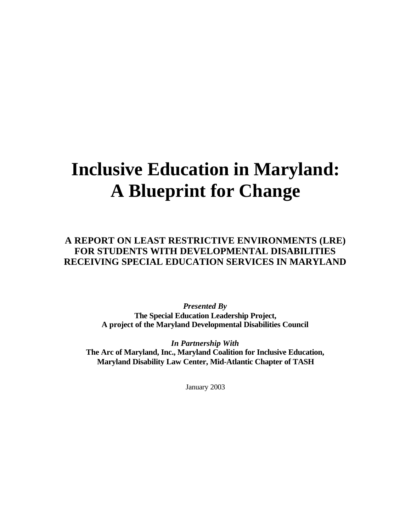# **Inclusive Education in Maryland: A Blueprint for Change**

**A REPORT ON LEAST RESTRICTIVE ENVIRONMENTS (LRE) FOR STUDENTS WITH DEVELOPMENTAL DISABILITIES RECEIVING SPECIAL EDUCATION SERVICES IN MARYLAND** 

> *Presented By*  **The Special Education Leadership Project, A project of the Maryland Developmental Disabilities Council**

*In Partnership With*  **The Arc of Maryland, Inc., Maryland Coalition for Inclusive Education, Maryland Disability Law Center, Mid-Atlantic Chapter of TASH** 

January 2003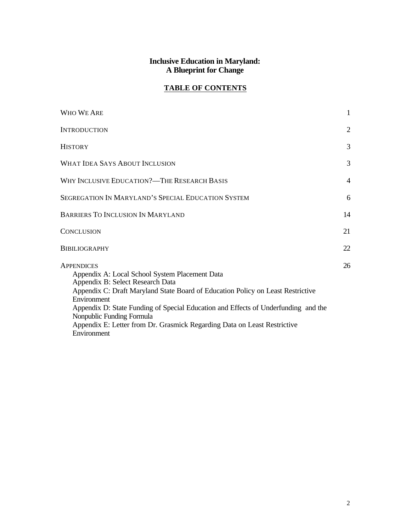#### **Inclusive Education in Maryland: A Blueprint for Change**

## **TABLE OF CONTENTS**

| WHO WE ARE                                                                                                                                                                                                                                                                                                                                                                                               | $\mathbf{1}$   |
|----------------------------------------------------------------------------------------------------------------------------------------------------------------------------------------------------------------------------------------------------------------------------------------------------------------------------------------------------------------------------------------------------------|----------------|
| <b>INTRODUCTION</b>                                                                                                                                                                                                                                                                                                                                                                                      | $\overline{2}$ |
| <b>HISTORY</b>                                                                                                                                                                                                                                                                                                                                                                                           | 3              |
| <b>WHAT IDEA SAYS ABOUT INCLUSION</b>                                                                                                                                                                                                                                                                                                                                                                    | 3              |
| WHY INCLUSIVE EDUCATION?—THE RESEARCH BASIS                                                                                                                                                                                                                                                                                                                                                              | $\overline{4}$ |
| SEGREGATION IN MARYLAND'S SPECIAL EDUCATION SYSTEM                                                                                                                                                                                                                                                                                                                                                       | 6              |
| <b>BARRIERS TO INCLUSION IN MARYLAND</b>                                                                                                                                                                                                                                                                                                                                                                 | 14             |
| <b>CONCLUSION</b>                                                                                                                                                                                                                                                                                                                                                                                        | 21             |
| <b>BIBILIOGRAPHY</b>                                                                                                                                                                                                                                                                                                                                                                                     | 22             |
| <b>APPENDICES</b><br>Appendix A: Local School System Placement Data<br>Appendix B: Select Research Data<br>Appendix C: Draft Maryland State Board of Education Policy on Least Restrictive<br>Environment<br>Appendix D: State Funding of Special Education and Effects of Underfunding and the<br>Nonpublic Funding Formula<br>Appendix E: Letter from Dr. Grasmick Regarding Data on Least Restrictive | 26             |
| Environment                                                                                                                                                                                                                                                                                                                                                                                              |                |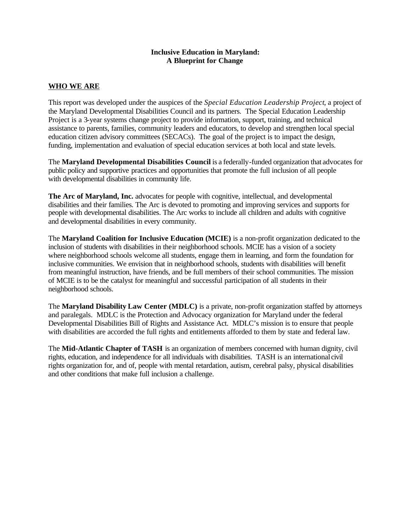#### **Inclusive Education in Maryland: A Blueprint for Change**

#### **WHO WE ARE**

This report was developed under the auspices of the *Special Education Leadership Project*, a project of the Maryland Developmental Disabilities Council and its partners. The Special Education Leadership Project is a 3-year systems change project to provide information, support, training, and technical assistance to parents, families, community leaders and educators, to develop and strengthen local special education citizen advisory committees (SECACs). The goal of the project is to impact the design, funding, implementation and evaluation of special education services at both local and state levels.

The **Maryland Developmental Disabilities Council** is a federally-funded organization that advocates for public policy and supportive practices and opportunities that promote the full inclusion of all people with developmental disabilities in community life.

**The Arc of Maryland, Inc.** advocates for people with cognitive, intellectual, and developmental disabilities and their families. The Arc is devoted to promoting and improving services and supports for people with developmental disabilities. The Arc works to include all children and adults with cognitive and developmental disabilities in every community.

The **Maryland Coalition for Inclusive Education (MCIE)** is a non-profit organization dedicated to the inclusion of students with disabilities in their neighborhood schools. MCIE has a vision of a society where neighborhood schools welcome all students, engage them in learning, and form the foundation for inclusive communities. We envision that in neighborhood schools, students with disabilities will benefit from meaningful instruction, have friends, and be full members of their school communities. The mission of MCIE is to be the catalyst for meaningful and successful participation of all students in their neighborhood schools.

The **Maryland Disability Law Center (MDLC)** is a private, non-profit organization staffed by attorneys and paralegals. MDLC is the Protection and Advocacy organization for Maryland under the federal Developmental Disabilities Bill of Rights and Assistance Act. MDLC's mission is to ensure that people with disabilities are accorded the full rights and entitlements afforded to them by state and federal law.

The **Mid-Atlantic Chapter of TASH** is an organization of members concerned with human dignity, civil rights, education, and independence for all individuals with disabilities. TASH is an international civil rights organization for, and of, people with mental retardation, autism, cerebral palsy, physical disabilities and other conditions that make full inclusion a challenge.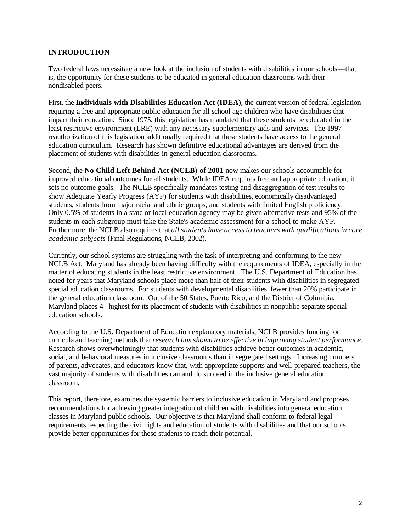#### **INTRODUCTION**

Two federal laws necessitate a new look at the inclusion of students with disabilities in our schools—that is, the opportunity for these students to be educated in general education classrooms with their nondisabled peers.

First, the **Individuals with Disabilities Education Act (IDEA)**, the current version of federal legislation requiring a free and appropriate public education for all school age children who have disabilities that impact their education. Since 1975, this legislation has mandated that these students be educated in the least restrictive environment (LRE) with any necessary supplementary aids and services. The 1997 reauthorization of this legislation additionally required that these students have access to the general education curriculum. Research has shown definitive educational advantages are derived from the placement of students with disabilities in general education classrooms.

Second, the **No Child Left Behind Act (NCLB) of 2001** now makes our schools accountable for improved educational outcomes for all students. While IDEA requires free and appropriate education, it sets no outcome goals. The NCLB specifically mandates testing and disaggregation of test results to show Adequate Yearly Progress (AYP) for students with disabilities, economically disadvantaged students, students from major racial and ethnic groups, and students with limited English proficiency. Only 0.5% of students in a state or local education agency may be given alternative tests and 95% of the students in each subgroup must take the State's academic assessment for a school to make AYP. Furthermore, the NCLB also requires that *all students have access to teachers with qualifications in core academic subjects* (Final Regulations, NCLB, 2002).

Currently, our school systems are struggling with the task of interpreting and conforming to the new NCLB Act. Maryland has already been having difficulty with the requirements of IDEA, especially in the matter of educating students in the least restrictive environment. The U.S. Department of Education has noted for years that Maryland schools place more than half of their students with disabilities in segregated special education classrooms. For students with developmental disabilities, fewer than 20% participate in the general education classroom. Out of the 50 States, Puerto Rico, and the District of Columbia, Maryland places 4<sup>th</sup> highest for its placement of students with disabilities in nonpublic separate special education schools.

According to the U.S. Department of Education explanatory materials, NCLB provides funding for curricula and teaching methods that *research has shown to be effective in improving student performance*. Research shows overwhelmingly that students with disabilities achieve better outcomes in academic, social, and behavioral measures in inclusive classrooms than in segregated settings. Increasing numbers of parents, advocates, and educators know that, with appropriate supports and well-prepared teachers, the vast majority of students with disabilities can and do succeed in the inclusive general education classroom.

This report, therefore, examines the systemic barriers to inclusive education in Maryland and proposes recommendations for achieving greater integration of children with disabilities into general education classes in Maryland public schools. Our objective is that Maryland shall conform to federal legal requirements respecting the civil rights and education of students with disabilities and that our schools provide better opportunities for these students to reach their potential.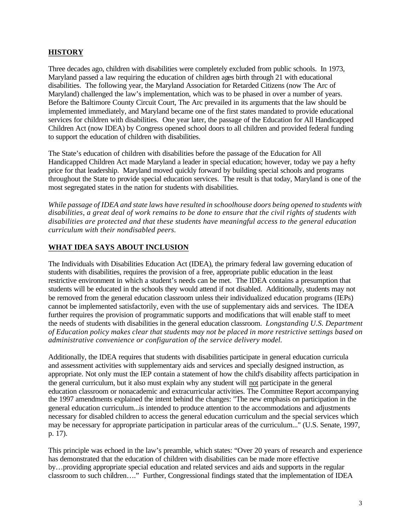#### **HISTORY**

Three decades ago, children with disabilities were completely excluded from public schools. In 1973, Maryland passed a law requiring the education of children ages birth through 21 with educational disabilities. The following year, the Maryland Association for Retarded Citizens (now The Arc of Maryland) challenged the law's implementation, which was to be phased in over a number of years. Before the Baltimore County Circuit Court, The Arc prevailed in its arguments that the law should be implemented immediately, and Maryland became one of the first states mandated to provide educational services for children with disabilities. One year later, the passage of the Education for All Handicapped Children Act (now IDEA) by Congress opened school doors to all children and provided federal funding to support the education of children with disabilities.

The State's education of children with disabilities before the passage of the Education for All Handicapped Children Act made Maryland a leader in special education; however, today we pay a hefty price for that leadership. Maryland moved quickly forward by building special schools and programs throughout the State to provide special education services. The result is that today, Maryland is one of the most segregated states in the nation for students with disabilities.

*While passage of IDEA and state laws have resulted in schoolhouse doors being opened to students with disabilities, a great deal of work remains to be done to ensure that the civil rights of students with disabilities are protected and that these students have meaningful access to the general education curriculum with their nondisabled peers.* 

#### **WHAT IDEA SAYS ABOUT INCLUSION**

The Individuals with Disabilities Education Act (IDEA), the primary federal law governing education of students with disabilities, requires the provision of a free, appropriate public education in the least restrictive environment in which a student's needs can be met. The IDEA contains a presumption that students will be educated in the schools they would attend if not disabled. Additionally, students may not be removed from the general education classroom unless their individualized education programs (IEPs) cannot be implemented satisfactorily, even with the use of supplementary aids and services. The IDEA further requires the provision of programmatic supports and modifications that will enable staff to meet the needs of students with disabilities in the general education classroom. *Longstanding U.S. Department of Education policy makes clear that students may not be placed in more restrictive settings based on administrative convenience or configuration of the service delivery model.* 

Additionally, the IDEA requires that students with disabilities participate in general education curricula and assessment activities with supplementary aids and services and specially designed instruction, as appropriate. Not only must the IEP contain a statement of how the child's disability affects participation in the general curriculum, but it also must explain why any student will not participate in the general education classroom or nonacademic and extracurricular activities. The Committee Report accompanying the 1997 amendments explained the intent behind the changes: "The new emphasis on participation in the general education curriculum...is intended to produce attention to the accommodations and adjustments necessary for disabled children to access the general education curriculum and the special services which may be necessary for appropriate participation in particular areas of the curriculum..." (U.S. Senate, 1997, p. 17).

This principle was echoed in the law's preamble, which states: "Over 20 years of research and experience has demonstrated that the education of children with disabilities can be made more effective by…providing appropriate special education and related services and aids and supports in the regular classroom to such children…." Further, Congressional findings stated that the implementation of IDEA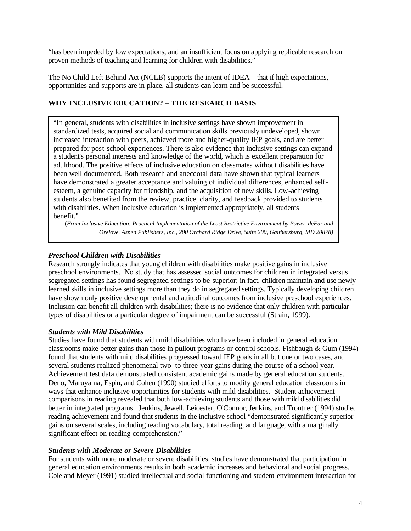"has been impeded by low expectations, and an insufficient focus on applying replicable research on proven methods of teaching and learning for children with disabilities."

The No Child Left Behind Act (NCLB) supports the intent of IDEA—that if high expectations, opportunities and supports are in place, all students can learn and be successful.

### **WHY INCLUSIVE EDUCATION? – THE RESEARCH BASIS**

"In general, students with disabilities in inclusive settings have shown improvement in standardized tests, acquired social and communication skills previously undeveloped, shown prepared for post-school experiences. There is also evidence that inclusive settings can expand a student's personal interests and knowledge of the world, which is excellent preparation for been well documented. Both research and anecdotal data have shown that typical learners students also benefited from the review, practice, clarity, and feedback provided to students with disabilities. When inclusive education is implemented appropriately, all students benefit." increased interaction with peers, achieved more and higher-quality IEP goals, and are better adulthood. The positive effects of inclusive education on classmates without disabilities have have demonstrated a greater acceptance and valuing of individual differences, enhanced selfesteem, a genuine capacity for friendship, and the acquisition of new skills. Low-achieving

(From Inclusive Education: Practical Implementation of the Least Restrictive Environment by Power-deFur and *Orelove. Aspen Publishers, Inc., 200 Orchard Ridge Drive, Suite 200, Gaithersburg, MD 20878)* 

#### *Preschool Children with Disabilities*

Research strongly indicates that young children with disabilities make positive gains in inclusive preschool environments. No study that has assessed social outcomes for children in integrated versus segregated settings has found segregated settings to be superior; in fact, children maintain and use newly learned skills in inclusive settings more than they do in segregated settings. Typically developing children have shown only positive developmental and attitudinal outcomes from inclusive preschool experiences. Inclusion can benefit all children with disabilities; there is no evidence that only children with particular types of disabilities or a particular degree of impairment can be successful (Strain, 1999).

#### *Students with Mild Disabilities*

Studies have found that students with mild disabilities who have been included in general education classrooms make better gains than those in pullout programs or control schools. Fishbaugh & Gum (1994) found that students with mild disabilities progressed toward IEP goals in all but one or two cases, and several students realized phenomenal two- to three-year gains during the course of a school year. Achievement test data demonstrated consistent academic gains made by general education students. Deno, Maruyama, Espin, and Cohen (1990) studied efforts to modify general education classrooms in ways that enhance inclusive opportunities for students with mild disabilities. Student achievement comparisons in reading revealed that both low-achieving students and those with mild disabilities did better in integrated programs. Jenkins, Jewell, Leicester, O'Connor, Jenkins, and Troutner (1994) studied reading achievement and found that students in the inclusive school "demonstrated significantly superior gains on several scales, including reading vocabulary, total reading, and language, with a marginally significant effect on reading comprehension."

#### *Students with Moderate or Severe Disabilities*

For students with more moderate or severe disabilities, studies have demonstrated that participation in general education environments results in both academic increases and behavioral and social progress. Cole and Meyer (1991) studied intellectual and social functioning and student-environment interaction for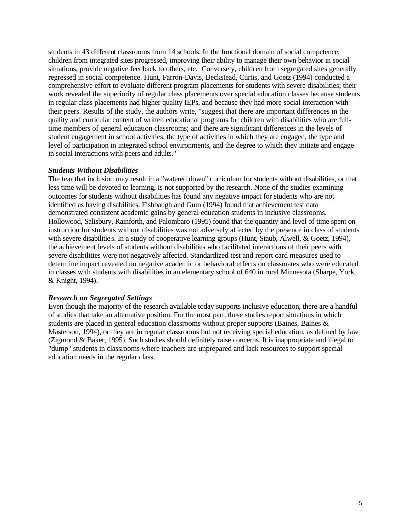students in 43 different classrooms from 14 schools. In the functional domain of social competence, children from integrated sites progressed, improving their ability to manage their own behavior in social situations, provide negative feedback to others, etc. Conversely, children from segregated sites generally regressed in social competence. Hunt, Farron-Davis, Beckstead, Curtis, and Goetz (1994) conducted a comprehensive effort to evaluate different program placements for students with severe disabilities; their work revealed the superiority of regular class placements over special education classes because students in regular class placements had higher quality IEPs, and because they had more social interaction with their peers. Results of the study, the authors write, "suggest that there are important differences in the quality and curricular content of written educational programs for children with disabilities who are fulltime members of general education classrooms; and there are significant differences in the levels of student engagement in school activities, the type of activities in which they are engaged, the type and level of participation in integrated school environments, and the degree to which they initiate and engage in social interactions with peers and adults."

#### *Students Without Disabilities*

The fear that inclusion may result in a "watered down" curriculum for students without disabilities, or that less time will be devoted to learning, is not supported by the research. None of the studies examining outcomes for students without disabilities has found any negative impact for students who are not identified as having disabilities. Fishbaugh and Gum (1994) found that achievement test data demonstrated consistent academic gains by general education students in inclusive classrooms. Hollowood, Salisbury, Rainforth, and Palombaro (1995) found that the quantity and level of time spent on instruction for students without disabilities was not adversely affected by the presence in class of students with severe disabilities. In a study of cooperative learning groups (Hunt, Staub, Alwell, & Goetz, 1994), the achievement levels of students without disabilities who facilitated interactions of their peers with severe disabilities were not negatively affected. Standardized test and report card measures used to determine impact revealed no negative academic or behavioral effects on classmates who were educated in classes with students with disabilities in an elementary school of 640 in rural Minnesota (Sharpe, York, & Knight, 1994).

#### *Research on Segregated Settings*

Even though the majority of the research available today supports inclusive education, there are a handful of studies that take an alternative position. For the most part, these studies report situations in which students are placed in general education classrooms without proper supports (Baines, Baines & Masterson, 1994), or they are in regular classrooms but not receiving special education, as defined by law (Zigmond & Baker, 1995). Such studies should definitely raise concerns. It is inappropriate and illegal to "dump" students in classrooms where teachers are unprepared and lack resources to support special education needs in the regular class.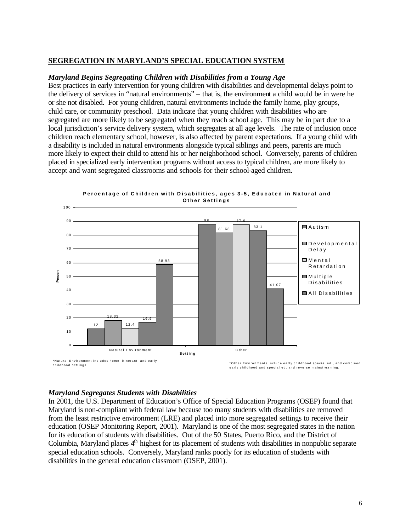#### **SEGREGATION IN MARYLAND'S SPECIAL EDUCATION SYSTEM**

#### *Maryland Begins Segregating Children with Disabilities from a Young Age*

Best practices in early intervention for young children with disabilities and developmental delays point to the delivery of services in "natural environments" – that is, the environment a child would be in were he or she not disabled. For young children, natural environments include the family home, play groups, child care, or community preschool. Data indicate that young children with disabilities who are segregated are more likely to be segregated when they reach school age. This may be in part due to a local jurisdiction's service delivery system, which segregates at all age levels. The rate of inclusion once children reach elementary school, however, is also affected by parent expectations. If a young child with a disability is included in natural environments alongside typical siblings and peers, parents are much more likely to expect their child to attend his or her neighborhood school. Conversely, parents of children placed in specialized early intervention programs without access to typical children, are more likely to accept and want segregated classrooms and schools for their school-aged children.



**Percentage of Children with Disabilities, ages 3-5, Educated in Natural and** 

#### *Maryland Segregates Students with Disabilities*

In 2001, the U.S. Department of Education's Office of Special Education Programs (OSEP) found that Maryland is non-compliant with federal law because too many students with disabilities are removed from the least restrictive environment (LRE) and placed into more segregated settings to receive their education (OSEP Monitoring Report, 2001). Maryland is one of the most segregated states in the nation for its education of students with disabilities. Out of the 50 States, Puerto Rico, and the District of Columbia, Maryland places  $4<sup>th</sup>$  highest for its placement of students with disabilities in nonpublic separate special education schools. Conversely, Maryland ranks poorly for its education of students with disabilities in the general education classroom (OSEP, 2001).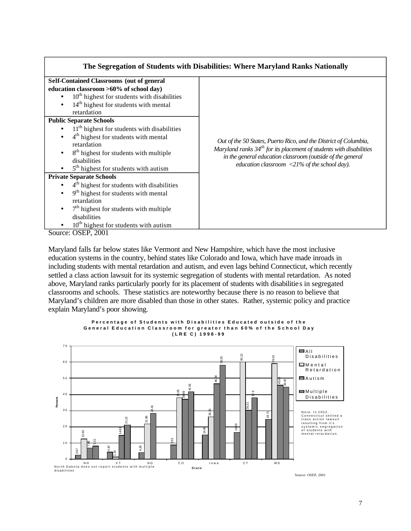| <b>Self-Contained Classrooms (out of general</b><br>education classroom >60% of school day)<br>$10th$ highest for students with disabilities             |
|----------------------------------------------------------------------------------------------------------------------------------------------------------|
|                                                                                                                                                          |
|                                                                                                                                                          |
|                                                                                                                                                          |
| 14 <sup>th</sup> highest for students with mental                                                                                                        |
| retardation                                                                                                                                              |
| <b>Public Separate Schools</b>                                                                                                                           |
| 11 <sup>th</sup> highest for students with disabilities                                                                                                  |
| 4 <sup>th</sup> highest for students with mental                                                                                                         |
| Out of the 50 States, Puerto Rico, and the District of Columbia,<br>retardation<br>Maryland ranks $34th$ for its placement of students with disabilities |
| 8 <sup>th</sup> highest for students with multiple<br>in the general education classroom (outside of the general                                         |
| disabilities<br>education classroom <21% of the school day).                                                                                             |
| 5 <sup>th</sup> highest for students with autism                                                                                                         |
| <b>Private Separate Schools</b>                                                                                                                          |
| 4 <sup>th</sup> highest for students with disabilities                                                                                                   |
| 9 <sup>th</sup> highest for students with mental<br>$\bullet$                                                                                            |
| retardation                                                                                                                                              |
| $7th$ highest for students with multiple                                                                                                                 |
| disabilities                                                                                                                                             |
| $10th$ highest for students with autism                                                                                                                  |

Source: OSEP, 2001

Maryland falls far below states like Vermont and New Hampshire, which have the most inclusive education systems in the country, behind states like Colorado and Iowa, which have made inroads in including students with mental retardation and autism, and even lags behind Connecticut, which recently settled a class action lawsuit for its systemic segregation of students with mental retardation. As noted above, Maryland ranks particularly poorly for its placement of students with disabilitie s in segregated classrooms and schools. These statistics are noteworthy because there is no reason to believe that Maryland's children are more disabled than those in other states. Rather, systemic policy and practice explain Maryland's poor showing.



**Percentage of Students with Disabilities Educated outside of the General Education Classroom for greator than 60% of the School Day (LRE C) 1998-99**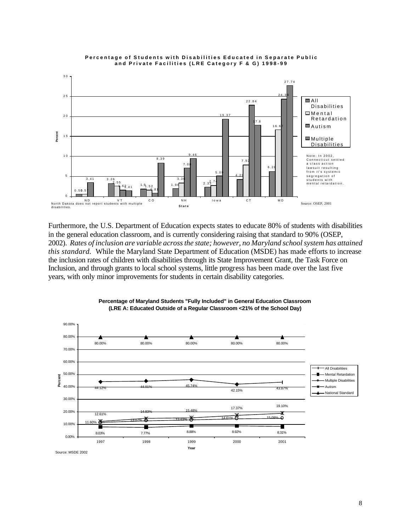

#### **Percentage of Students with Disabilities Educated in Separate Public and Private Facilities (LRE Category F & G) 1998-99**

Furthermore, the U.S. Department of Education expects states to educate 80% of students with disabilities in the general education classroom, and is currently considering raising that standard to 90% (OSEP, 2002). *Rates of inclusion are variable across the state; however, no Maryland school system has attained this standard.* While the Maryland State Department of Education (MSDE) has made efforts to increase the inclusion rates of children with disabilities through its State Improvement Grant, the Task Force on Inclusion, and through grants to local school systems, little progress has been made over the last five years, with only minor improvements for students in certain disability categories.



#### **Percentage of Maryland Students "Fully Included" in General Education Classroom (LRE A: Educated Outside of a Regular Classroom <21% of the School Day)**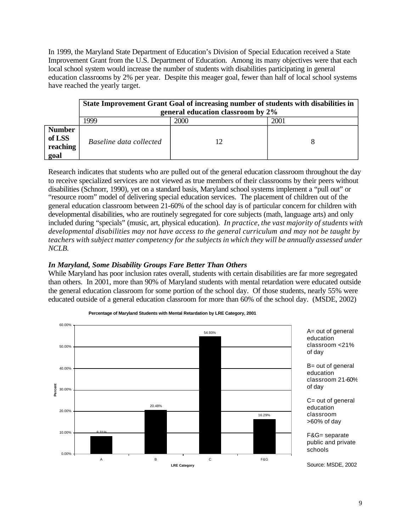In 1999, the Maryland State Department of Education's Division of Special Education received a State Improvement Grant from the U.S. Department of Education. Among its many objectives were that each local school system would increase the number of students with disabilities participating in general education classrooms by 2% per year. Despite this meager goal, fewer than half of local school systems have reached the yearly target.

|                                             | State Improvement Grant Goal of increasing number of students with disabilities in<br>general education classroom by 2% |      |      |  |  |  |  |
|---------------------------------------------|-------------------------------------------------------------------------------------------------------------------------|------|------|--|--|--|--|
|                                             | 1999                                                                                                                    | 2000 | 2001 |  |  |  |  |
| <b>Number</b><br>of LSS<br>reaching<br>goal | Baseline data collected                                                                                                 |      |      |  |  |  |  |

Research indicates that students who are pulled out of the general education classroom throughout the day to receive specialized services are not viewed as true members of their classrooms by their peers without disabilities (Schnorr, 1990), yet on a standard basis, Maryland school systems implement a "pull out" or "resource room" model of delivering special education services. The placement of children out of the general education classroom between 21-60% of the school day is of particular concern for children with developmental disabilities, who are routinely segregated for core subjects (math, language arts) and only included during "specials" (music, art, physical education). *In practice, the vast majority of students with developmental disabilities may not have access to the general curriculum and may not be taught by teachers with subject matter competency for the subjects in which they will be annually assessed under NCLB.* 

#### *In Maryland, Some Disability Groups Fare Better Than Others*

While Maryland has poor inclusion rates overall, students with certain disabilities are far more segregated than others. In 2001, more than 90% of Maryland students with mental retardation were educated outside the general education classroom for some portion of the school day. Of those students, nearly 55% were educated outside of a general education classroom for more than 60% of the school day. (MSDE, 2002)



**Percentage of Maryland Students with Mental Retardation by LRE Category, 2001** 

9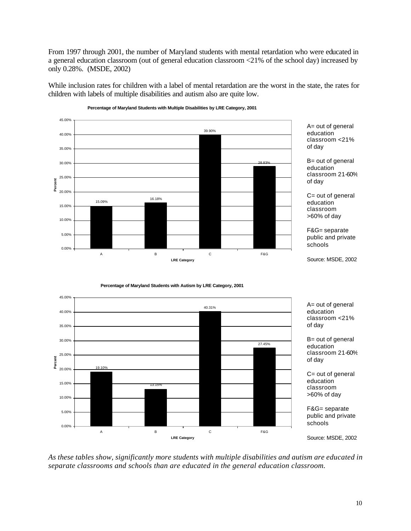From 1997 through 2001, the number of Maryland students with mental retardation who were educated in a general education classroom (out of general education classroom <21% of the school day) increased by only 0.28%. (MSDE, 2002)

While inclusion rates for children with a label of mental retardation are the worst in the state, the rates for children with labels of multiple disabilities and autism also are quite low.



**Percentage of Maryland Students with Multiple Disabilities by LRE Category, 2001** 

**Percentage of Maryland Students with Autism by LRE Category, 2001** 



A= out of general education classroom <21%

B= out of general education classroom 21-60%

C= out of general education classroom >60% of day

F&G= separate public and private

*As these tables show, significantly more students with multiple disabilities and autism are educated in separate classrooms and schools than are educated in the general education classroom.*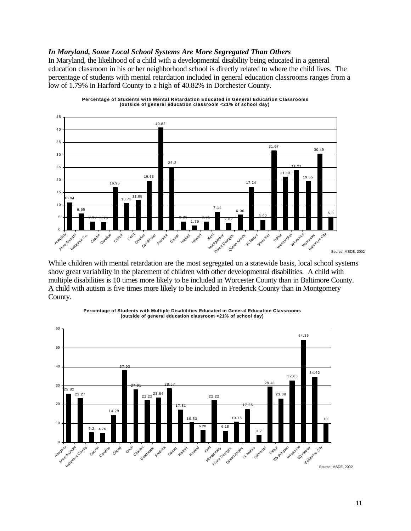#### *In Maryland, Some Local School Systems Are More Segregated Than Others*

In Maryland, the likelihood of a child with a developmental disability being educated in a general education classroom in his or her neighborhood school is directly related to where the child lives. The percentage of students with mental retardation included in general education classrooms ranges from a low of 1.79% in Harford County to a high of 40.82% in Dorchester County.



**Percentage of Students with Mental Retardation Educated in General Education Classrooms (outside of general education classroom <21% of school day)** 

While children with mental retardation are the most segregated on a statewide basis, local school systems show great variability in the placement of children with other developmental disabilities. A child with multiple disabilities is 10 times more likely to be included in Worcester County than in Baltimore County. A child with autism is five times more likely to be included in Frederick County than in Montgomery County.



**Percentage of Students with Multiple Disabilities Educated in General Education Classrooms (outside of general education classroom <21% of school day)**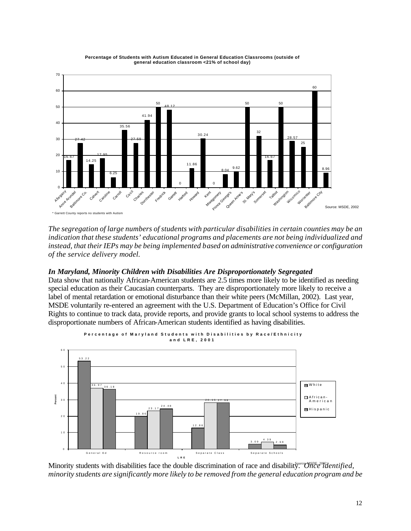

**Percentage of Students with Autism Educated in General Education Classrooms (outside of general education classroom <21% of school day)** 

*The segregation of large numbers of students with particular disabilities in certain counties may be an indication that these students' educational programs and placements are not being individualized and instead, that their IEPs may be being implemented based on administrative convenience or configuration of the service delivery model.* 

#### *In Maryland, Minority Children with Disabilities Are Disproportionately Segregated*

Data show that nationally African-American students are 2.5 times more likely to be identified as needing special education as their Caucasian counterparts. They are disproportionately more likely to receive a label of mental retardation or emotional disturbance than their white peers (McMillan, 2002). Last year, MSDE voluntarily re-entered an agreement with the U.S. Department of Education's Office for Civil Rights to continue to track data, provide reports, and provide grants to local school systems to address the disproportionate numbers of African-American students identified as having disabilities.



Minority students with disabilities face the double discrimination of race and disability.<sup>*The 2012 dentified*,</sup> *minority students are significantly more likely to be removed from the general education program and be*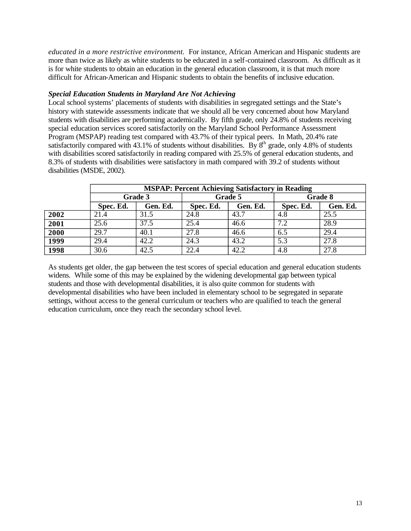*educated in a more restrictive environment.* For instance, African American and Hispanic students are more than twice as likely as white students to be educated in a self-contained classroom. As difficult as it is for white students to obtain an education in the general education classroom, it is that much more difficult for African-American and Hispanic students to obtain the benefits of inclusive education.

#### *Special Education Students in Maryland Are Not Achieving*

Local school systems' placements of students with disabilities in segregated settings and the State's history with statewide assessments indicate that we should all be very concerned about how Maryland students with disabilities are performing academically. By fifth grade, only 24.8% of students receiving special education services scored satisfactorily on the Maryland School Performance Assessment Program (MSPAP) reading test compared with 43.7% of their typical peers. In Math, 20.4% rate satisfactorily compared with 43.1% of students without disabilities. By  $8^{th}$  grade, only 4.8% of students with disabilities scored satisfactorily in reading compared with 25.5% of general education students, and 8.3% of students with disabilities were satisfactory in math compared with 39.2 of students without disabilities (MSDE, 2002).

|      | <b>MSPAP: Percent Achieving Satisfactory in Reading</b> |          |           |          |           |          |  |  |
|------|---------------------------------------------------------|----------|-----------|----------|-----------|----------|--|--|
|      | Grade 3                                                 |          | Grade 5   |          | Grade 8   |          |  |  |
|      | Spec. Ed.                                               | Gen. Ed. | Spec. Ed. | Gen. Ed. | Spec. Ed. | Gen. Ed. |  |  |
| 2002 | 21.4                                                    | 31.5     | 24.8      | 43.7     | 4.8       | 25.5     |  |  |
| 2001 | 25.6                                                    | 37.5     | 25.4      | 46.6     | 7.2       | 28.9     |  |  |
| 2000 | 29.7                                                    | 40.1     | 27.8      | 46.6     | 6.5       | 29.4     |  |  |
| 1999 | 29.4                                                    | 42.2     | 24.3      | 43.2     | 5.3       | 27.8     |  |  |
| 1998 | 30.6                                                    | 42.5     | 22.4      | 42.2     | 4.8       | 27.8     |  |  |

As students get older, the gap between the test scores of special education and general education students widens. While some of this may be explained by the widening developmental gap between typical students and those with developmental disabilities, it is also quite common for students with developmental disabilities who have been included in elementary school to be segregated in separate settings, without access to the general curriculum or teachers who are qualified to teach the general education curriculum, once they reach the secondary school level.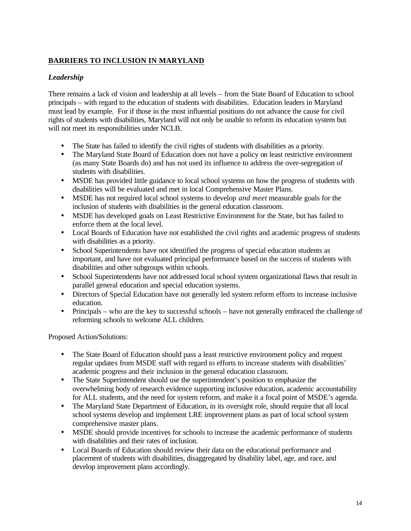## **BARRIERS TO INCLUSION IN MARYLAND**

## *Leadership*

There remains a lack of vision and leadership at all levels – from the State Board of Education to school principals – with regard to the education of students with disabilities. Education leaders in Maryland must lead by example. For if those in the most influential positions do not advance the cause for civil rights of students with disabilities, Maryland will not only be unable to reform its education system but will not meet its responsibilities under NCLB.

- The State has failed to identify the civil rights of students with disabilities as a priority.
- The Maryland State Board of Education does not have a policy on least restrictive environment (as many State Boards do) and has not used its influence to address the over-segregation of students with disabilities.
- MSDE has provided little guidance to local school systems on how the progress of students with disabilities will be evaluated and met in local Comprehensive Master Plans.
- MSDE has not required local school systems to develop *and meet* measurable goals for the inclusion of students with disabilities in the general education classroom.
- MSDE has developed goals on Least Restrictive Environment for the State, but has failed to enforce them at the local level.
- Local Boards of Education have not established the civil rights and academic progress of students with disabilities as a priority.
- School Superintendents have not identified the progress of special education students as important, and have not evaluated principal performance based on the success of students with disabilities and other subgroups within schools.
- School Superintendents have not addressed local school system organizational flaws that result in parallel general education and special education systems.
- Directors of Special Education have not generally led system reform efforts to increase inclusive education.
- Principals who are the key to successful schools have not generally embraced the challenge of reforming schools to welcome ALL children.

Proposed Action/Solutions:

- The State Board of Education should pass a least restrictive environment policy and request regular updates from MSDE staff with regard to efforts to increase students with disabilities' academic progress and their inclusion in the general education classroom.
- The State Superintendent should use the superintendent's position to emphasize the overwhelming body of research evidence supporting inclusive education, academic accountability for ALL students, and the need for system reform, and make it a focal point of MSDE's agenda.
- The Maryland State Department of Education, in its oversight role, should require that all local school systems develop and implement LRE improvement plans as part of local school system comprehensive master plans.
- MSDE should provide incentives for schools to increase the academic performance of students with disabilities and their rates of inclusion.
- Local Boards of Education should review their data on the educational performance and placement of students with disabilities, disaggregated by disability label, age, and race, and develop improvement plans accordingly.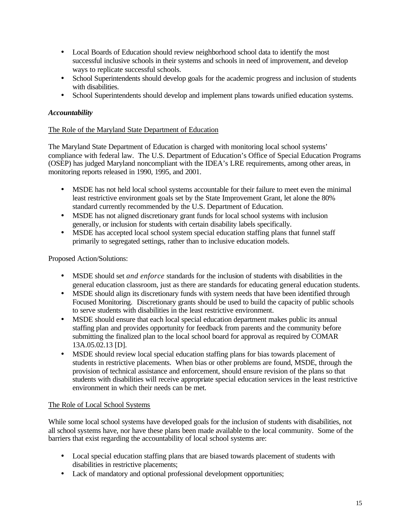- Local Boards of Education should review neighborhood school data to identify the most successful inclusive schools in their systems and schools in need of improvement, and develop ways to replicate successful schools.
- School Superintendents should develop goals for the academic progress and inclusion of students with disabilities.
- School Superintendents should develop and implement plans towards unified education systems.

#### *Accountability*

#### The Role of the Maryland State Department of Education

The Maryland State Department of Education is charged with monitoring local school systems' compliance with federal law. The U.S. Department of Education's Office of Special Education Programs (OSEP) has judged Maryland noncompliant with the IDEA's LRE requirements, among other areas, in monitoring reports released in 1990, 1995, and 2001.

- MSDE has not held local school systems accountable for their failure to meet even the minimal least restrictive environment goals set by the State Improvement Grant, let alone the 80% standard currently recommended by the U.S. Department of Education.
- MSDE has not aligned discretionary grant funds for local school systems with inclusion generally, or inclusion for students with certain disability labels specifically.
- MSDE has accepted local school system special education staffing plans that funnel staff primarily to segregated settings, rather than to inclusive education models.

Proposed Action/Solutions:

- MSDE should set *and enforce* standards for the inclusion of students with disabilities in the general education classroom, just as there are standards for educating general education students.
- MSDE should align its discretionary funds with system needs that have been identified through Focused Monitoring. Discretionary grants should be used to build the capacity of public schools to serve students with disabilities in the least restrictive environment.
- MSDE should ensure that each local special education department makes public its annual staffing plan and provides opportunity for feedback from parents and the community before submitting the finalized plan to the local school board for approval as required by COMAR 13A.05.02.13 [D].
- MSDE should review local special education staffing plans for bias towards placement of students in restrictive placements. When bias or other problems are found, MSDE, through the provision of technical assistance and enforcement, should ensure revision of the plans so that students with disabilities will receive appropriate special education services in the least restrictive environment in which their needs can be met.

#### The Role of Local School Systems

While some local school systems have developed goals for the inclusion of students with disabilities, not all school systems have, nor have these plans been made available to the local community. Some of the barriers that exist regarding the accountability of local school systems are:

- Local special education staffing plans that are biased towards placement of students with disabilities in restrictive placements;
- Lack of mandatory and optional professional development opportunities;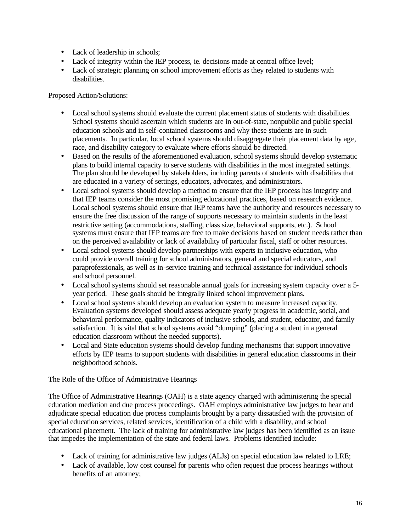- Lack of leadership in schools;
- Lack of integrity within the IEP process, ie. decisions made at central office level;
- Lack of strategic planning on school improvement efforts as they related to students with disabilities.

Proposed Action/Solutions:

- Local school systems should evaluate the current placement status of students with disabilities. School systems should ascertain which students are in out-of-state, nonpublic and public special education schools and in self-contained classrooms and why these students are in such placements. In particular, local school systems should disaggregate their placement data by age, race, and disability category to evaluate where efforts should be directed.
- Based on the results of the aforementioned evaluation, school systems should develop systematic plans to build internal capacity to serve students with disabilities in the most integrated settings. The plan should be developed by stakeholders, including parents of students with disabilities that are educated in a variety of settings, educators, advocates, and administrators.
- Local school systems should develop a method to ensure that the IEP process has integrity and that IEP teams consider the most promising educational practices, based on research evidence. Local school systems should ensure that IEP teams have the authority and resources necessary to ensure the free discussion of the range of supports necessary to maintain students in the least restrictive setting (accommodations, staffing, class size, behavioral supports, etc.). School systems must ensure that IEP teams are free to make decisions based on student needs rather than on the perceived availability or lack of availability of particular fiscal, staff or other resources.
- Local school systems should develop partnerships with experts in inclusive education, who could provide overall training for school administrators, general and special educators, and paraprofessionals, as well as in-service training and technical assistance for individual schools and school personnel.
- Local school systems should set reasonable annual goals for increasing system capacity over a 5year period. These goals should be integrally linked school improvement plans.
- Local school systems should develop an evaluation system to measure increased capacity. Evaluation systems developed should assess adequate yearly progress in academic, social, and behavioral performance, quality indicators of inclusive schools, and student, educator, and family satisfaction. It is vital that school systems avoid "dumping" (placing a student in a general education classroom without the needed supports).
- Local and State education systems should develop funding mechanisms that support innovative efforts by IEP teams to support students with disabilities in general education classrooms in their neighborhood schools.

#### The Role of the Office of Administrative Hearings

The Office of Administrative Hearings (OAH) is a state agency charged with administering the special education mediation and due process proceedings. OAH employs administrative law judges to hear and adjudicate special education due process complaints brought by a party dissatisfied with the provision of special education services, related services, identification of a child with a disability, and school educational placement. The lack of training for administrative law judges has been identified as an issue that impedes the implementation of the state and federal laws. Problems identified include:

- Lack of training for administrative law judges (ALJs) on special education law related to LRE;
- Lack of available, low cost counsel for parents who often request due process hearings without benefits of an attorney;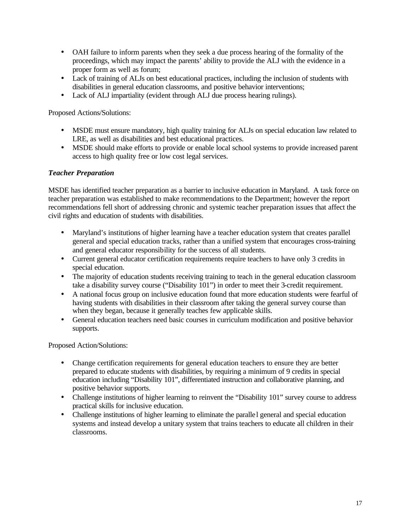- OAH failure to inform parents when they seek a due process hearing of the formality of the proceedings, which may impact the parents' ability to provide the ALJ with the evidence in a proper form as well as forum;
- Lack of training of ALJs on best educational practices, including the inclusion of students with disabilities in general education classrooms, and positive behavior interventions;
- Lack of ALJ impartiality (evident through ALJ due process hearing rulings).

Proposed Actions/Solutions:

- MSDE must ensure mandatory, high quality training for ALJs on special education law related to LRE, as well as disabilities and best educational practices.
- MSDE should make efforts to provide or enable local school systems to provide increased parent access to high quality free or low cost legal services.

#### *Teacher Preparation*

MSDE has identified teacher preparation as a barrier to inclusive education in Maryland. A task force on teacher preparation was established to make recommendations to the Department; however the report recommendations fell short of addressing chronic and systemic teacher preparation issues that affect the civil rights and education of students with disabilities.

- Maryland's institutions of higher learning have a teacher education system that creates parallel general and special education tracks, rather than a unified system that encourages cross-training and general educator responsibility for the success of all students.
- Current general educator certification requirements require teachers to have only 3 credits in special education.
- The majority of education students receiving training to teach in the general education classroom take a disability survey course ("Disability 101") in order to meet their 3-credit requirement.
- A national focus group on inclusive education found that more education students were fearful of having students with disabilities in their classroom after taking the general survey course than when they began, because it generally teaches few applicable skills.
- General education teachers need basic courses in curriculum modification and positive behavior supports.

Proposed Action/Solutions:

- Change certification requirements for general education teachers to ensure they are better prepared to educate students with disabilities, by requiring a minimum of 9 credits in special education including "Disability 101", differentiated instruction and collaborative planning, and positive behavior supports.
- Challenge institutions of higher learning to reinvent the "Disability 101" survey course to address practical skills for inclusive education.
- Challenge institutions of higher learning to eliminate the parallel general and special education systems and instead develop a unitary system that trains teachers to educate all children in their classrooms.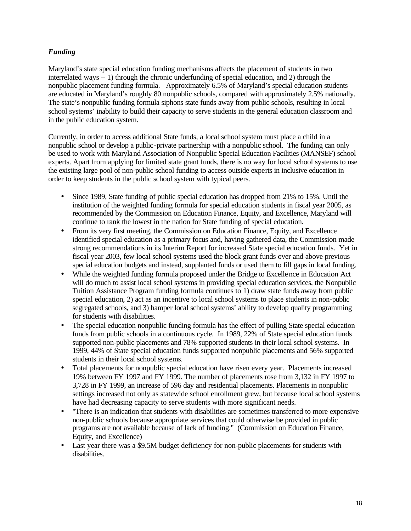### *Funding*

Maryland's state special education funding mechanisms affects the placement of students in two interrelated ways – 1) through the chronic underfunding of special education, and 2) through the nonpublic placement funding formula. Approximately 6.5% of Maryland's special education students are educated in Maryland's roughly 80 nonpublic schools, compared with approximately 2.5% nationally. The state's nonpublic funding formula siphons state funds away from public schools, resulting in local school systems' inability to build their capacity to serve students in the general education classroom and in the public education system.

Currently, in order to access additional State funds, a local school system must place a child in a nonpublic school or develop a public-private partnership with a nonpublic school. The funding can only be used to work with Maryla nd Association of Nonpublic Special Education Facilities (MANSEF) school experts. Apart from applying for limited state grant funds, there is no way for local school systems to use the existing large pool of non-public school funding to access outside experts in inclusive education in order to keep students in the public school system with typical peers.

- Since 1989, State funding of public special education has dropped from 21% to 15%. Until the institution of the weighted funding formula for special education students in fiscal year 2005, as recommended by the Commission on Education Finance, Equity, and Excellence, Maryland will continue to rank the lowest in the nation for State funding of special education.
- From its very first meeting, the Commission on Education Finance, Equity, and Excellence identified special education as a primary focus and, having gathered data, the Commission made strong recommendations in its Interim Report for increased State special education funds. Yet in fiscal year 2003, few local school systems used the block grant funds over and above previous special education budgets and instead, supplanted funds or used them to fill gaps in local funding.
- While the weighted funding formula proposed under the Bridge to Excelle nce in Education Act will do much to assist local school systems in providing special education services, the Nonpublic Tuition Assistance Program funding formula continues to 1) draw state funds away from public special education, 2) act as an incentive to local school systems to place students in non-public segregated schools, and 3) hamper local school systems' ability to develop quality programming for students with disabilities.
- The special education nonpublic funding formula has the effect of pulling State special education funds from public schools in a continuous cycle. In 1989, 22% of State special education funds supported non-public placements and 78% supported students in their local school systems. In 1999, 44% of State special education funds supported nonpublic placements and 56% supported students in their local school systems.
- Total placements for nonpublic special education have risen every year. Placements increased 19% between FY 1997 and FY 1999. The number of placements rose from 3,132 in FY 1997 to 3,728 in FY 1999, an increase of 596 day and residential placements. Placements in nonpublic settings increased not only as statewide school enrollment grew, but because local school systems have had decreasing capacity to serve students with more significant needs.
- "There is an indication that students with disabilities are sometimes transferred to more expensive non-public schools because appropriate services that could otherwise be provided in public programs are not available because of lack of funding." (Commission on Education Finance, Equity, and Excellence)
- Last year there was a \$9.5M budget deficiency for non-public placements for students with disabilities.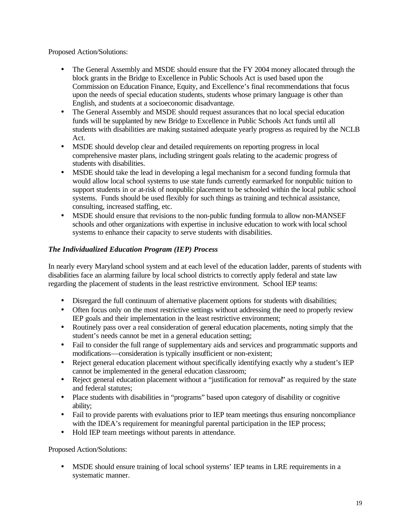Proposed Action/Solutions:

- The General Assembly and MSDE should ensure that the FY 2004 money allocated through the block grants in the Bridge to Excellence in Public Schools Act is used based upon the Commission on Education Finance, Equity, and Excellence's final recommendations that focus upon the needs of special education students, students whose primary language is other than English, and students at a socioeconomic disadvantage.
- The General Assembly and MSDE should request assurances that no local special education funds will be supplanted by new Bridge to Excellence in Public Schools Act funds until all students with disabilities are making sustained adequate yearly progress as required by the NCLB Act.
- MSDE should develop clear and detailed requirements on reporting progress in local comprehensive master plans, including stringent goals relating to the academic progress of students with disabilities.
- MSDE should take the lead in developing a legal mechanism for a second funding formula that would allow local school systems to use state funds currently earmarked for nonpublic tuition to support students in or at-risk of nonpublic placement to be schooled within the local public school systems. Funds should be used flexibly for such things as training and technical assistance, consulting, increased staffing, etc.
- MSDE should ensure that revisions to the non-public funding formula to allow non-MANSEF schools and other organizations with expertise in inclusive education to work with local school systems to enhance their capacity to serve students with disabilities.

### *The Individualized Education Program (IEP) Process*

In nearly every Maryland school system and at each level of the education ladder, parents of students with disabilities face an alarming failure by local school districts to correctly apply federal and state law regarding the placement of students in the least restrictive environment. School IEP teams:

- Disregard the full continuum of alternative placement options for students with disabilities;
- Often focus only on the most restrictive settings without addressing the need to properly review IEP goals and their implementation in the least restrictive environment;
- Routinely pass over a real consideration of general education placements, noting simply that the student's needs cannot be met in a general education setting;
- Fail to consider the full range of supplementary aids and services and programmatic supports and modifications—consideration is typically insufficient or non-existent;
- Reject general education placement without specifically identifying exactly why a student's IEP cannot be implemented in the general education classroom;
- Reject general education placement without a "justification for removal" as required by the state and federal statutes;
- Place students with disabilities in "programs" based upon category of disability or cognitive ability;
- Fail to provide parents with evaluations prior to IEP team meetings thus ensuring noncompliance with the IDEA's requirement for meaningful parental participation in the IEP process;
- Hold IEP team meetings without parents in attendance.

Proposed Action/Solutions:

• MSDE should ensure training of local school systems' IEP teams in LRE requirements in a systematic manner.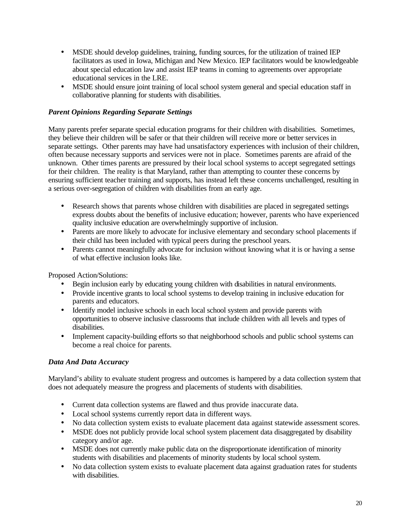- MSDE should develop guidelines, training, funding sources, for the utilization of trained IEP facilitators as used in Iowa, Michigan and New Mexico. IEP facilitators would be knowledgeable about special education law and assist IEP teams in coming to agreements over appropriate educational services in the LRE.
- MSDE should ensure joint training of local school system general and special education staff in collaborative planning for students with disabilities.

#### *Parent Opinions Regarding Separate Settings*

Many parents prefer separate special education programs for their children with disabilities. Sometimes, they believe their children will be safer or that their children will receive more or better services in separate settings. Other parents may have had unsatisfactory experiences with inclusion of their children, often because necessary supports and services were not in place. Sometimes parents are afraid of the unknown. Other times parents are pressured by their local school systems to accept segregated settings for their children. The reality is that Maryland, rather than attempting to counter these concerns by ensuring sufficient teacher training and supports, has instead left these concerns unchallenged, resulting in a serious over-segregation of children with disabilities from an early age.

- Research shows that parents whose children with disabilities are placed in segregated settings express doubts about the benefits of inclusive education; however, parents who have experienced quality inclusive education are overwhelmingly supportive of inclusion.
- Parents are more likely to advocate for inclusive elementary and secondary school placements if their child has been included with typical peers during the preschool years.
- Parents cannot meaningfully advocate for inclusion without knowing what it is or having a sense of what effective inclusion looks like.

Proposed Action/Solutions:

- Begin inclusion early by educating young children with disabilities in natural environments.
- Provide incentive grants to local school systems to develop training in inclusive education for parents and educators.
- Identify model inclusive schools in each local school system and provide parents with opportunities to observe inclusive classrooms that include children with all levels and types of disabilities.
- Implement capacity-building efforts so that neighborhood schools and public school systems can become a real choice for parents.

#### *Data And Data Accuracy*

Maryland's ability to evaluate student progress and outcomes is hampered by a data collection system that does not adequately measure the progress and placements of students with disabilities.

- Current data collection systems are flawed and thus provide inaccurate data.
- Local school systems currently report data in different ways.
- No data collection system exists to evaluate placement data against statewide assessment scores.
- MSDE does not publicly provide local school system placement data disaggregated by disability category and/or age.
- MSDE does not currently make public data on the disproportionate identification of minority students with disabilities and placements of minority students by local school system.
- No data collection system exists to evaluate placement data against graduation rates for students with disabilities.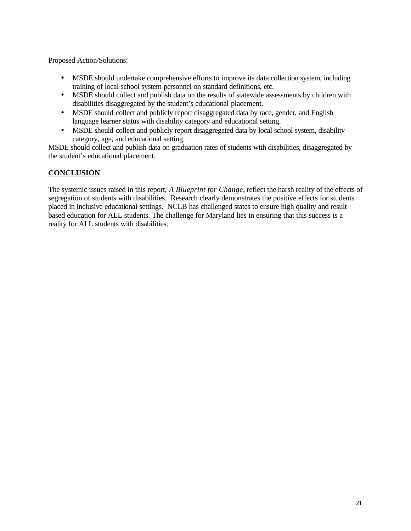Proposed Action/Solutions:

- MSDE should undertake comprehensive efforts to improve its data collection system, including training of local school system personnel on standard definitions, etc.
- MSDE should collect and publish data on the results of statewide assessments by children with disabilities disaggregated by the student's educational placement.
- MSDE should collect and publicly report disaggregated data by race, gender, and English language learner status with disability category and educational setting.
- MSDE should collect and publicly report disaggregated data by local school system, disability category, age, and educational setting.

MSDE should collect and publish data on graduation rates of students with disabilities, disaggregated by the student's educational placement.

## **CONCLUSION**

The systemic issues raised in this report, *A Blueprint for Change*, reflect the harsh reality of the effects of segregation of students with disabilities. Research clearly demonstrates the positive effects for students placed in inclusive educational settings. NCLB has challenged states to ensure high quality and result based education for ALL students. The challenge for Maryland lies in ensuring that this success is a reality for ALL students with disabilities.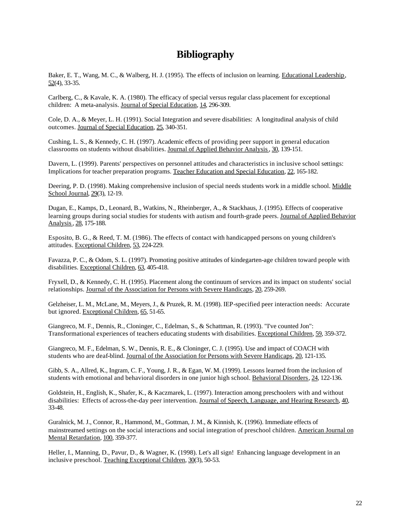## **Bibliography**

Baker, E. T., Wang, M. C., & Walberg, H. J. (1995). The effects of inclusion on learning. Educational Leadership, 52(4), 33-35.

Carlberg, C., & Kavale, K. A. (1980). The efficacy of special versus regular class placement for exceptional children: A meta-analysis. Journal of Special Education, 14, 296-309.

Cole, D. A., & Meyer, L. H. (1991). Social Integration and severe disabilities: A longitudinal analysis of child outcomes. Journal of Special Education, 25, 340-351.

Cushing, L. S., & Kennedy, C. H. (1997). Academic effects of providing peer support in general education classrooms on students without disabilities. Journal of Applied Behavior Analysis , 30, 139-151.

Davern, L. (1999). Parents' perspectives on personnel attitudes and characteristics in inclusive school settings: Implications for teacher preparation programs. Teacher Education and Special Education, 22, 165-182.

Deering, P. D. (1998). Making comprehensive inclusion of special needs students work in a middle school. Middle School Journal, 29(3), 12-19.

Dugan, E., Kamps, D., Leonard, B., Watkins, N., Rheinberger, A., & Stackhaus, J. (1995). Effects of cooperative learning groups during social studies for students with autism and fourth-grade peers. Journal of Applied Behavior Analysis , 28, 175-188.

Esposito, B. G., & Reed, T. M. (1986). The effects of contact with handicapped persons on young children's attitudes. Exceptional Children, 53, 224-229.

Favazza, P. C., & Odom, S. L. (1997). Promoting positive attitudes of kindegarten-age children toward people with disabilities. Exceptional Children, 63, 405-418.

Fryxell, D., & Kennedy, C. H. (1995). Placement along the continuum of services and its impact on students' social relationships. Journal of the Association for Persons with Severe Handicaps, 20, 259-269.

Gelzheiser, L. M., McLane, M., Meyers, J., & Pruzek, R. M. (1998). IEP-specified peer interaction needs: Accurate but ignored. Exceptional Children, 65, 51-65.

Giangreco, M. F., Dennis, R., Cloninger, C., Edelman, S., & Schattman, R. (1993). "I've counted Jon": Transformational experiences of teachers educating students with disabilities. Exceptional Children, 59, 359-372.

Giangreco, M. F., Edelman, S. W., Dennis, R. E., & Cloninger, C. J. (1995). Use and impact of COACH with students who are deaf-blind. Journal of the Association for Persons with Severe Handicaps, 20, 121-135.

Gibb, S. A., Allred, K., Ingram, C. F., Young, J. R., & Egan, W. M. (1999). Lessons learned from the inclusion of students with emotional and behavioral disorders in one junior high school. Behavioral Disorders, 24, 122-136.

Goldstein, H., English, K., Shafer, K., & Kaczmarek, L. (1997). Interaction among preschoolers with and without disabilities: Effects of across-the-day peer intervention. Journal of Speech, Language, and Hearing Research, 40, 33-48.

Guralnick, M. J., Connor, R., Hammond, M., Gottman, J. M., & Kinnish, K. (1996). Immediate effects of mainstreamed settings on the social interactions and social integration of preschool children. American Journal on Mental Retardation, 100, 359-377.

Heller, I., Manning, D., Pavur, D., & Wagner, K. (1998). Let's all sign! Enhancing language development in an inclusive preschool. Teaching Exceptional Children, 30(3), 50-53.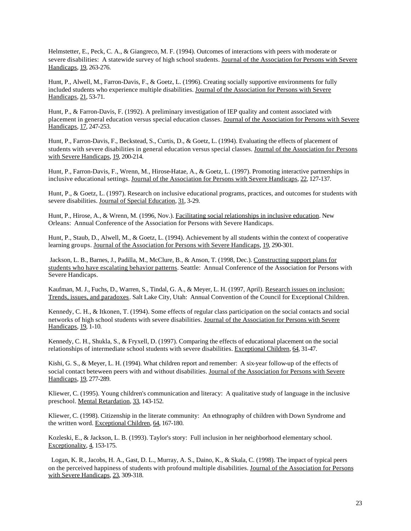Helmstetter, E., Peck, C. A., & Giangreco, M. F. (1994). Outcomes of interactions with peers with moderate or severe disabilities: A statewide survey of high school students. Journal of the Association for Persons with Severe Handicaps, 19, 263-276.

Hunt, P., Alwell, M., Farron-Davis, F., & Goetz, L. (1996). Creating socially supportive environments for fully included students who experience multiple disabilities. Journal of the Association for Persons with Severe Handicaps, 21, 53-71.

Hunt, P., & Farron-Davis, F. (1992). A preliminary investigation of IEP quality and content associated with placement in general education versus special education classes. Journal of the Association for Persons wit h Severe Handicaps, 17, 247-253.

Hunt, P., Farron-Davis, F., Beckstead, S., Curtis, D., & Goetz, L. (1994). Evaluating the effects of placement of students with severe disabilities in general education versus special classes. Journal of the Association for Persons with Severe Handicaps, 19, 200-214.

Hunt, P., Farron-Davis, F., Wrenn, M., Hirose-Hatae, A., & Goetz, L. (1997). Promoting interactive partnerships in inclusive educational settings. Journal of the Association for Persons with Severe Handicaps, 22, 127-137.

Hunt, P., & Goetz, L. (1997). Research on inclusive educational programs, practices, and outcomes for students with severe disabilities. Journal of Special Education, 31, 3-29.

Hunt, P., Hirose, A., & Wrenn, M. (1996, Nov.). Facilitating social relationships in inclusive education. New Orleans: Annual Conference of the Association for Persons with Severe Handicaps.

Hunt, P., Staub, D., Alwell, M., & Goetz, L. (1994). Achievement by all students within the context of cooperative learning groups. Journal of the Association for Persons with Severe Handicaps, 19, 290-301.

 Jackson, L. B., Barnes, J., Padilla, M., McClure, B., & Anson, T. (1998, Dec.). Constructing support plans for students who have escalating behavior patterns. Seattle: Annual Conference of the Association for Persons with Severe Handicaps.

Kaufman, M. J., Fuchs, D., Warren, S., Tindal, G. A., & Meyer, L. H. (1997, April). Research issues on inclusion: Trends, issues, and paradoxes. Salt Lake City, Utah: Annual Convention of the Council for Exceptional Children.

Kennedy, C. H., & Itkonen, T. (1994). Some effects of regular class participation on the social contacts and social networks of high school students with severe disabilities. Journal of the Association for Persons with Severe Handicaps, 19, 1-10.

Kennedy, C. H., Shukla, S., & Fryxell, D. (1997). Comparing the effects of educational placement on the social relationships of intermediate school students with severe disabilities. Exceptional Children, 64, 31-47.

Kishi, G. S., & Meyer, L. H. (1994). What children report and remember: A six-year follow-up of the effects of social contact beteween peers with and without disabilities. Journal of the Association for Persons with Severe Handicaps, 19, 277-289.

Kliewer, C. (1995). Young children's communication and literacy: A qualitative study of language in the inclusive preschool. Mental Retardation, 33, 143-152.

Kliewer, C. (1998). Citizenship in the literate community: An ethnography of children with Down Syndrome and the written word. Exceptional Children, 64, 167-180.

Kozleski, E., & Jackson, L. B. (1993). Taylor's story: Full inclusion in her neighborhood elementary school. Exceptionality, 4, 153-175.

Logan, K. R., Jacobs, H. A., Gast, D. L., Murray, A. S., Daino, K., & Skala, C. (1998). The impact of typical peers on the perceived happiness of students with profound multiple disabilities. Journal of the Association for Persons with Severe Handicaps, 23, 309-318.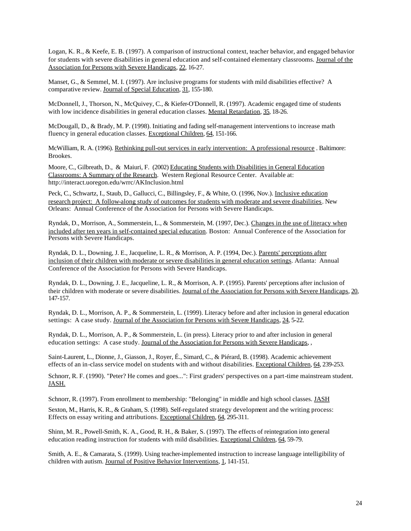Logan, K. R., & Keefe, E. B. (1997). A comparison of instructional context, teacher behavior, and engaged behavior for students with severe disabilities in general education and self-contained elementary classrooms. Journal of the Association for Persons with Severe Handicaps, 22, 16-27.

Manset, G., & Semmel, M. I. (1997). Are inclusive programs for students with mild disabilities effective? A comparative review. Journal of Special Education, 31, 155-180.

McDonnell, J., Thorson, N., McQuivey, C., & Kiefer-O'Donnell, R. (1997). Academic engaged time of students with low incidence disabilities in general education classes. Mental Retardation, 35, 18-26.

McDougall, D., & Brady, M. P. (1998). Initiating and fading self-management interventions to increase math fluency in general education classes. Exceptional Children, 64, 151-166.

McWilliam, R. A. (1996). Rethinking pull-out services in early intervention: A professional resource . Baltimore: Brookes.

Moore, C., Gilbreath, D., & Maiuri, F. (2002) Educating Students with Disabilities in General Education Classrooms: A Summary of the Research. Western Regional Resource Center. Available at: http://interact.uoregon.edu/wrrc/AKInclusion.html

Peck, C., Schwartz, I., Staub, D., Gallucci, C., Billingsley, F., & White, O. (1996, Nov.). Inclusive education research project: A follow-along study of outcomes for students with moderate and severe disabilities. New Orleans: Annual Conference of the A ssociation for Persons with Severe Handicaps.

Ryndak, D., Morrison, A., Sommerstein, L., & Sommerstein, M. (1997, Dec.). Changes in the use of literacy when included after ten years in self-contained special education. Boston: Annual Conference of the Association for Persons with Severe Handicaps.

Ryndak, D. L., Downing, J. E., Jacqueline, L. R., & Morrison, A. P. (1994, Dec.). Parents' perceptions after inclusion of their children with moderate or severe disabilities in general education settings. Atlanta: Annual Conference of the Association for Persons with Severe Handicaps.

Ryndak, D. L., Downing, J. E., Jacqueline, L. R., & Morrison, A. P. (1995). Parents' perceptions after inclusion of their children with moderate or severe disabilities. Journal of the Association for Persons with Severe Handicaps, 20, 147-157.

Ryndak, D. L., Morrison, A. P., & Sommerstein, L. (1999). Literacy before and after inclusion in general education settings: A case study. Journal of the Association for Persons with Severe Handicaps, 24, 5-22.

Ryndak, D. L., Morrison, A. P., & Sommerstein, L. (in press). Literacy prior to and after inclusion in general education settings: A case study. Journal of the Association for Persons with Severe Handicaps, ,

Saint-Laurent, L., Dionne, J., Giasson, J., Royer, É., Simard, C., & Piérard, B. (1998). Academic achievement effects of an in-class service model on students with and without disabilities. Exceptional Children, 64, 239-253.

Schnorr, R. F. (1990). "Peter? He comes and goes...": First graders' perspectives on a part-time mainstream student. JASH.

Schnorr, R. (1997). From enrollment to membership: "Belonging" in middle and high school classes. JASH

Sexton, M., Harris, K. R., & Graham, S. (1998). Self-regulated strategy development and the writing process: Effects on essay writing and attributions. Exceptional Children, 64, 295-311.

Shinn, M. R., Powell-Smith, K. A., Good, R. H., & Baker, S. (1997). The effects of reintegration into general education reading instruction for students with mild disabilities. Exceptional Children, 64, 59-79.

Smith, A. E., & Camarata, S. (1999). Using teacher-implemented instruction to increase language intelligibility of children with autism. Journal of Positive Behavior Interventions, 1, 141-151.